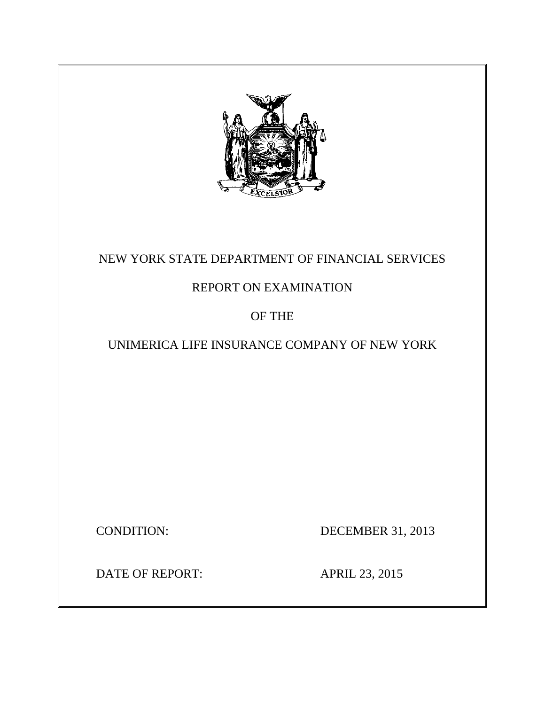

# NEW YORK STATE DEPARTMENT OF FINANCIAL SERVICES

# REPORT ON EXAMINATION

# OF THE

# UNIMERICA LIFE INSURANCE COMPANY OF NEW YORK

CONDITION: DECEMBER 31, 2013

DATE OF REPORT: APRIL 23, 2015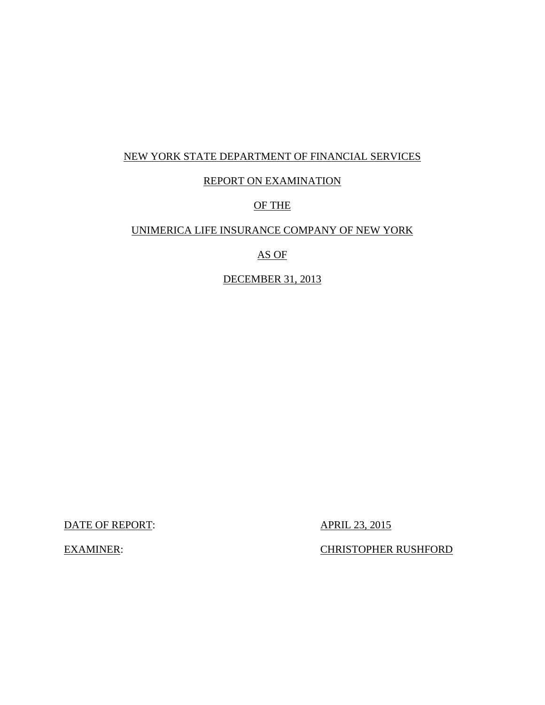## NEW YORK STATE DEPARTMENT OF FINANCIAL SERVICES

## REPORT ON EXAMINATION

# OF THE

## UNIMERICA LIFE INSURANCE COMPANY OF NEW YORK

## AS OF

## DECEMBER 31, 2013

DATE OF REPORT: APRIL 23, 2015

EXAMINER: CHRISTOPHER RUSHFORD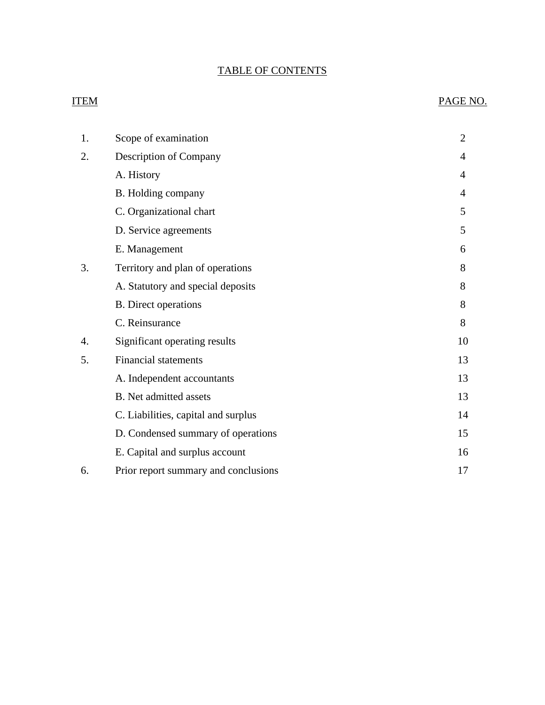# TABLE OF CONTENTS

# ITEM PAGE NO.

| 1. | Scope of examination                 | $\overline{2}$ |
|----|--------------------------------------|----------------|
| 2. | Description of Company               | 4              |
|    | A. History                           | 4              |
|    | B. Holding company                   | 4              |
|    | C. Organizational chart              | 5              |
|    | D. Service agreements                | 5              |
|    | E. Management                        | 6              |
| 3. | Territory and plan of operations     | 8              |
|    | A. Statutory and special deposits    | 8              |
|    | <b>B.</b> Direct operations          | 8              |
|    | C. Reinsurance                       | 8              |
| 4. | Significant operating results        | 10             |
| 5. | <b>Financial statements</b>          | 13             |
|    | A. Independent accountants           | 13             |
|    | <b>B.</b> Net admitted assets        | 13             |
|    | C. Liabilities, capital and surplus  | 14             |
|    | D. Condensed summary of operations   | 15             |
|    | E. Capital and surplus account       | 16             |
| 6. | Prior report summary and conclusions | 17             |
|    |                                      |                |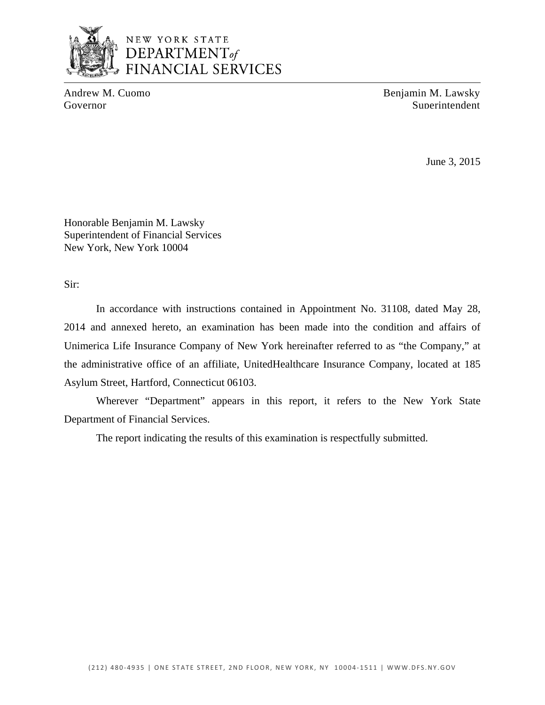

# NEW YORK STATE DEPARTMENT of FINANCIAL SERVICES

Andrew M. Cuomo Benjamin M. Lawsky Governor Superintendent Superintendent Superintendent Superintendent Superintendent

June 3, 2015

Honorable Benjamin M. Lawsky Superintendent of Financial Services New York, New York 10004

Sir:

In accordance with instructions contained in Appointment No. 31108, dated May 28, 2014 and annexed hereto, an examination has been made into the condition and affairs of Unimerica Life Insurance Company of New York hereinafter referred to as "the Company," at the administrative office of an affiliate, UnitedHealthcare Insurance Company, located at 185 Asylum Street, Hartford, Connecticut 06103.

Wherever "Department" appears in this report, it refers to the New York State Department of Financial Services.

The report indicating the results of this examination is respectfully submitted.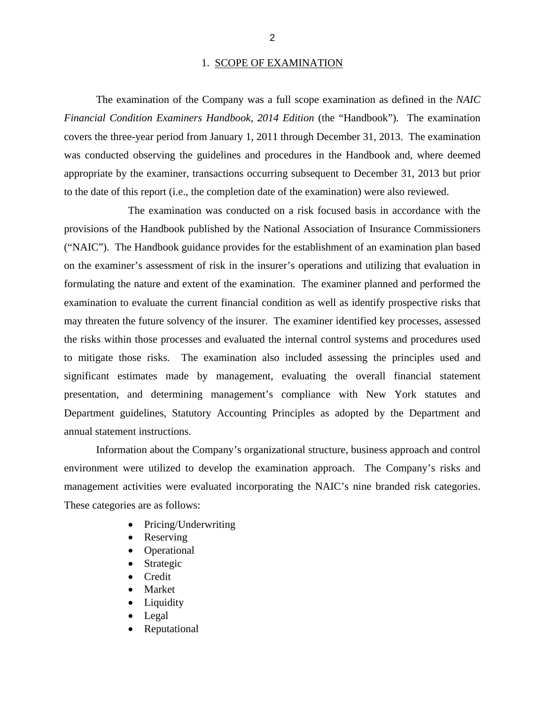#### 1. SCOPE OF EXAMINATION

<span id="page-4-0"></span>The examination of the Company was a full scope examination as defined in the *NAIC Financial Condition Examiners Handbook, 2014 Edition* (the "Handbook"). The examination covers the three-year period from January 1, 2011 through December 31, 2013. The examination was conducted observing the guidelines and procedures in the Handbook and, where deemed appropriate by the examiner, transactions occurring subsequent to December 31, 2013 but prior to the date of this report (i.e., the completion date of the examination) were also reviewed.

The examination was conducted on a risk focused basis in accordance with the provisions of the Handbook published by the National Association of Insurance Commissioners ("NAIC"). The Handbook guidance provides for the establishment of an examination plan based on the examiner's assessment of risk in the insurer's operations and utilizing that evaluation in formulating the nature and extent of the examination. The examiner planned and performed the examination to evaluate the current financial condition as well as identify prospective risks that may threaten the future solvency of the insurer. The examiner identified key processes, assessed the risks within those processes and evaluated the internal control systems and procedures used to mitigate those risks. The examination also included assessing the principles used and significant estimates made by management, evaluating the overall financial statement presentation, and determining management's compliance with New York statutes and Department guidelines, Statutory Accounting Principles as adopted by the Department and annual statement instructions.

Information about the Company's organizational structure, business approach and control environment were utilized to develop the examination approach. The Company's risks and management activities were evaluated incorporating the NAIC's nine branded risk categories. These categories are as follows:

- Pricing/Underwriting
- Reserving
- Operational
- Strategic
- Credit
- Market
- Liquidity
- Legal
- Reputational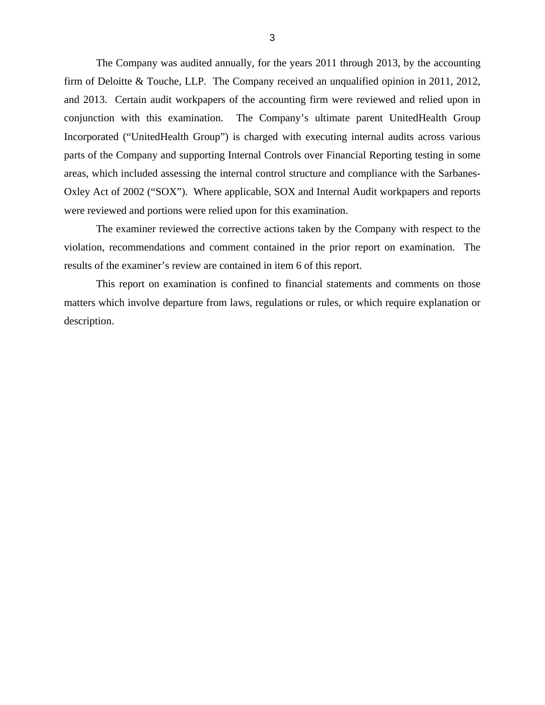The Company was audited annually, for the years 2011 through 2013, by the accounting firm of Deloitte & Touche, LLP. The Company received an unqualified opinion in 2011, 2012, and 2013. Certain audit workpapers of the accounting firm were reviewed and relied upon in conjunction with this examination. The Company's ultimate parent UnitedHealth Group Incorporated ("UnitedHealth Group") is charged with executing internal audits across various parts of the Company and supporting Internal Controls over Financial Reporting testing in some areas, which included assessing the internal control structure and compliance with the Sarbanes-Oxley Act of 2002 ("SOX"). Where applicable, SOX and Internal Audit workpapers and reports were reviewed and portions were relied upon for this examination.

The examiner reviewed the corrective actions taken by the Company with respect to the violation, recommendations and comment contained in the prior report on examination. The results of the examiner's review are contained in item 6 of this report.

This report on examination is confined to financial statements and comments on those matters which involve departure from laws, regulations or rules, or which require explanation or description.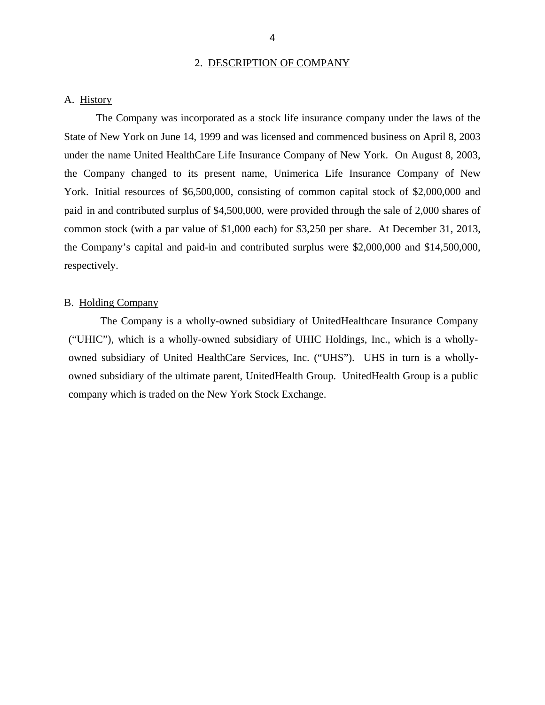#### 2. DESCRIPTION OF COMPANY

#### <span id="page-6-0"></span>A. History

The Company was incorporated as a stock life insurance company under the laws of the State of New York on June 14, 1999 and was licensed and commenced business on April 8, 2003 under the name United HealthCare Life Insurance Company of New York. On August 8, 2003, the Company changed to its present name, Unimerica Life Insurance Company of New York. Initial resources of \$6,500,000, consisting of common capital stock of \$2,000,000 and paid in and contributed surplus of \$4,500,000, were provided through the sale of 2,000 shares of common stock (with a par value of \$1,000 each) for \$3,250 per share. At December 31, 2013, the Company's capital and paid-in and contributed surplus were \$2,000,000 and \$14,500,000, respectively.

#### B. Holding Company

The Company is a wholly-owned subsidiary of UnitedHealthcare Insurance Company ("UHIC"), which is a wholly-owned subsidiary of UHIC Holdings, Inc., which is a whollyowned subsidiary of United HealthCare Services, Inc. ("UHS"). UHS in turn is a whollyowned subsidiary of the ultimate parent, UnitedHealth Group. UnitedHealth Group is a public company which is traded on the New York Stock Exchange.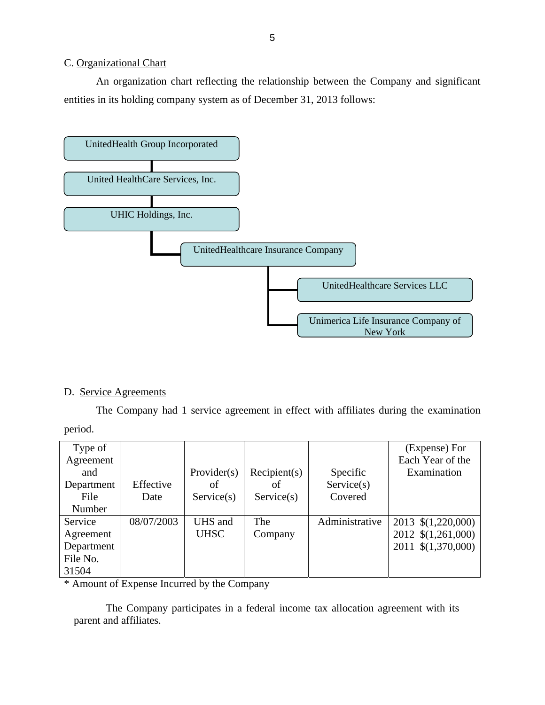#### C. Organizational Chart

An organization chart reflecting the relationship between the Company and significant entities in its holding company system as of December 31, 2013 follows:



## D. Service Agreements

The Company had 1 service agreement in effect with affiliates during the examination period.

| Type of    |            |             |              |                | (Expense) For      |
|------------|------------|-------------|--------------|----------------|--------------------|
| Agreement  |            |             |              |                | Each Year of the   |
| and        |            | Provider(s) | Recipient(s) | Specific       | Examination        |
| Department | Effective  | οf          | of           | Service(s)     |                    |
| File       | Date       | Service(s)  | Service(s)   | Covered        |                    |
| Number     |            |             |              |                |                    |
| Service    | 08/07/2003 | UHS and     | The          | Administrative | 2013 \$(1,220,000) |
| Agreement  |            | <b>UHSC</b> | Company      |                | 2012 \$(1,261,000) |
| Department |            |             |              |                | 2011 \$(1,370,000) |
| File No.   |            |             |              |                |                    |
| 31504      |            |             |              |                |                    |

\* Amount of Expense Incurred by the Company

The Company participates in a federal income tax allocation agreement with its parent and affiliates.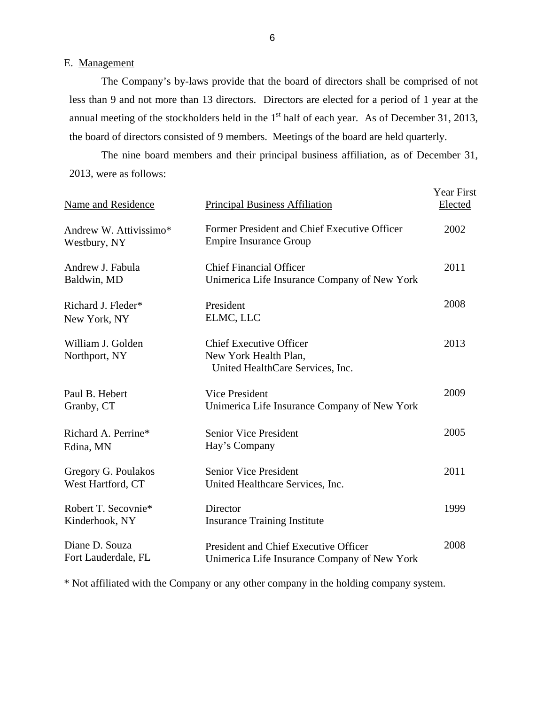<span id="page-8-0"></span>E. Management

The Company's by-laws provide that the board of directors shall be comprised of not less than 9 and not more than 13 directors. Directors are elected for a period of 1 year at the annual meeting of the stockholders held in the  $1<sup>st</sup>$  half of each year. As of December 31, 2013, the board of directors consisted of 9 members. Meetings of the board are held quarterly.

The nine board members and their principal business affiliation, as of December 31, 2013, were as follows:

| Name and Residence                       | <b>Principal Business Affiliation</b>                                                       | <b>Year First</b><br>Elected |
|------------------------------------------|---------------------------------------------------------------------------------------------|------------------------------|
| Andrew W. Attivissimo*<br>Westbury, NY   | Former President and Chief Executive Officer<br><b>Empire Insurance Group</b>               | 2002                         |
| Andrew J. Fabula<br>Baldwin, MD          | <b>Chief Financial Officer</b><br>Unimerica Life Insurance Company of New York              | 2011                         |
| Richard J. Fleder*<br>New York, NY       | President<br>ELMC, LLC                                                                      | 2008                         |
| William J. Golden<br>Northport, NY       | <b>Chief Executive Officer</b><br>New York Health Plan,<br>United HealthCare Services, Inc. | 2013                         |
| Paul B. Hebert<br>Granby, CT             | <b>Vice President</b><br>Unimerica Life Insurance Company of New York                       | 2009                         |
| Richard A. Perrine*<br>Edina, MN         | <b>Senior Vice President</b><br>Hay's Company                                               | 2005                         |
| Gregory G. Poulakos<br>West Hartford, CT | <b>Senior Vice President</b><br>United Healthcare Services, Inc.                            | 2011                         |
| Robert T. Secovnie*<br>Kinderhook, NY    | Director<br><b>Insurance Training Institute</b>                                             | 1999                         |
| Diane D. Souza<br>Fort Lauderdale, FL    | President and Chief Executive Officer<br>Unimerica Life Insurance Company of New York       | 2008                         |

\* Not affiliated with the Company or any other company in the holding company system.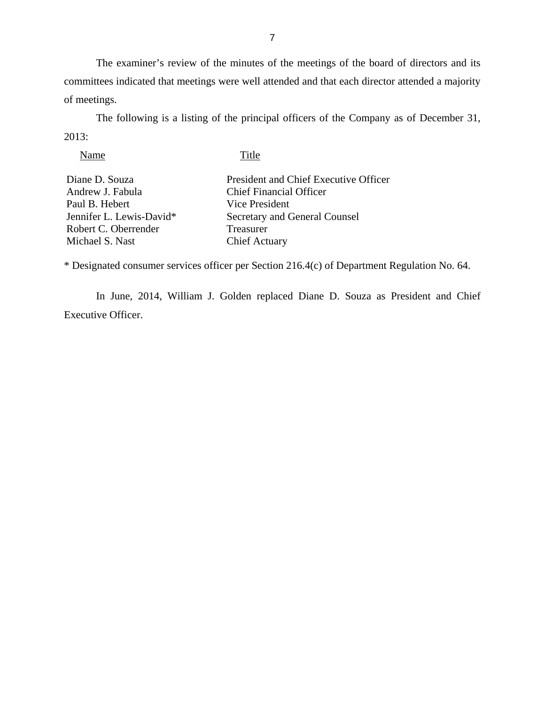The examiner's review of the minutes of the meetings of the board of directors and its committees indicated that meetings were well attended and that each director attended a majority of meetings.

The following is a listing of the principal officers of the Company as of December 31, 2013:

| Name                     | Title                                 |
|--------------------------|---------------------------------------|
| Diane D. Souza           | President and Chief Executive Officer |
| Andrew J. Fabula         | <b>Chief Financial Officer</b>        |
| Paul B. Hebert           | Vice President                        |
| Jennifer L. Lewis-David* | Secretary and General Counsel         |
| Robert C. Oberrender     | <b>Treasurer</b>                      |
| Michael S. Nast          | <b>Chief Actuary</b>                  |

\* Designated consumer services officer per Section 216.4(c) of Department Regulation No. 64.

In June, 2014, William J. Golden replaced Diane D. Souza as President and Chief Executive Officer.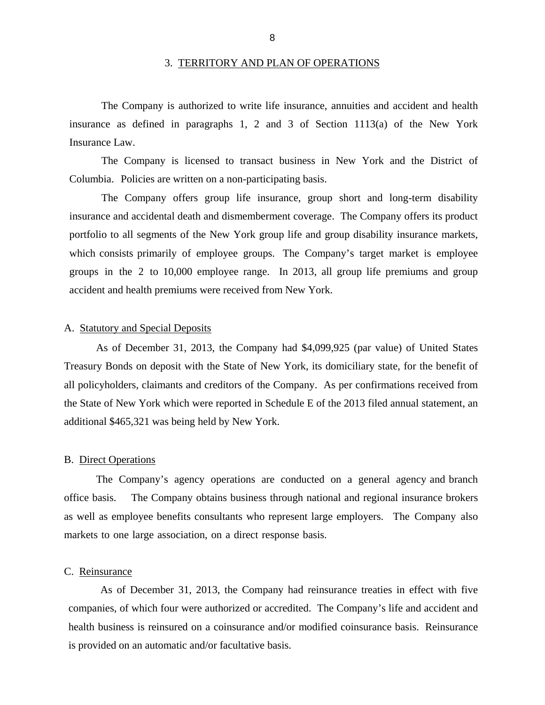<span id="page-10-0"></span>The Company is authorized to write life insurance, annuities and accident and health insurance as defined in paragraphs 1, 2 and 3 of Section 1113(a) of the New York Insurance Law.

The Company is licensed to transact business in New York and the District of Columbia. Policies are written on a non-participating basis.

 insurance and accidental death and dismemberment coverage. The Company offers its product The Company offers group life insurance, group short and long-term disability portfolio to all segments of the New York group life and group disability insurance markets, which consists primarily of employee groups. The Company's target market is employee groups in the 2 to 10,000 employee range. In 2013, all group life premiums and group accident and health premiums were received from New York.

#### A. Statutory and Special Deposits

As of December 31, 2013, the Company had \$4,099,925 (par value) of United States Treasury Bonds on deposit with the State of New York, its domiciliary state, for the benefit of all policyholders, claimants and creditors of the Company. As per confirmations received from the State of New York which were reported in Schedule E of the 2013 filed annual statement, an additional \$465,321 was being held by New York.

#### B. Direct Operations

The Company's agency operations are conducted on a general agency and branch office basis. The Company obtains business through national and regional insurance brokers as well as employee benefits consultants who represent large employers. The Company also markets to one large association, on a direct response basis.

#### C. Reinsurance

As of December 31, 2013, the Company had reinsurance treaties in effect with five companies, of which four were authorized or accredited. The Company's life and accident and health business is reinsured on a coinsurance and/or modified coinsurance basis. Reinsurance is provided on an automatic and/or facultative basis.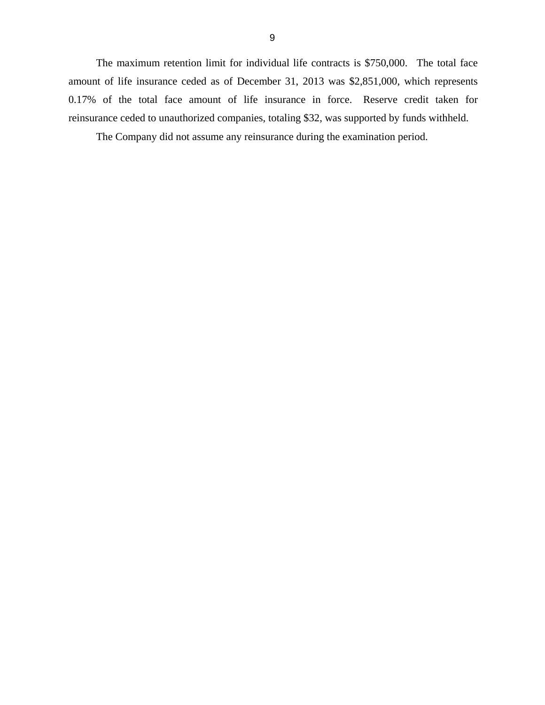The maximum retention limit for individual life contracts is \$750,000. The total face amount of life insurance ceded as of December 31, 2013 was \$2,851,000, which represents 0.17% of the total face amount of life insurance in force. Reserve credit taken for reinsurance ceded to unauthorized companies, totaling \$32, was supported by funds withheld.

The Company did not assume any reinsurance during the examination period.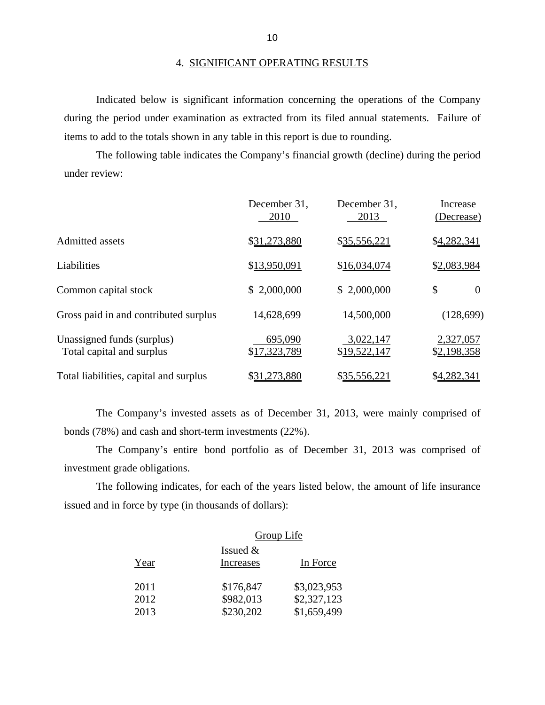Indicated below is significant information concerning the operations of the Company during the period under examination as extracted from its filed annual statements. Failure of items to add to the totals shown in any table in this report is due to rounding.

The following table indicates the Company's financial growth (decline) during the period under review:

|                                                         | December 31,<br>2010    | December 31,<br>2013      | Increase<br>(Decrease)   |
|---------------------------------------------------------|-------------------------|---------------------------|--------------------------|
| <b>Admitted assets</b>                                  | \$31,273,880            | \$35,556,221              | \$4,282,341              |
| Liabilities                                             | \$13,950,091            | \$16,034,074              | \$2,083,984              |
| Common capital stock                                    | \$2,000,000             | \$2,000,000               | \$<br>$\overline{0}$     |
| Gross paid in and contributed surplus                   | 14,628,699              | 14,500,000                | (128, 699)               |
| Unassigned funds (surplus)<br>Total capital and surplus | 695,090<br>\$17,323,789 | 3,022,147<br>\$19,522,147 | 2,327,057<br>\$2,198,358 |
| Total liabilities, capital and surplus                  | \$31,273,880            | \$35,556,221              | \$4,282,341              |

The Company's invested assets as of December 31, 2013, were mainly comprised of bonds (78%) and cash and short-term investments (22%).

The Company's entire bond portfolio as of December 31, 2013 was comprised of investment grade obligations.

The following indicates, for each of the years listed below, the amount of life insurance issued and in force by type (in thousands of dollars):

|      | <b>Group Life</b>       |             |  |
|------|-------------------------|-------------|--|
| Year | Issued $&$<br>Increases | In Force    |  |
| 2011 | \$176,847               | \$3,023,953 |  |
| 2012 | \$982,013               | \$2,327,123 |  |
| 2013 | \$230,202               | \$1,659,499 |  |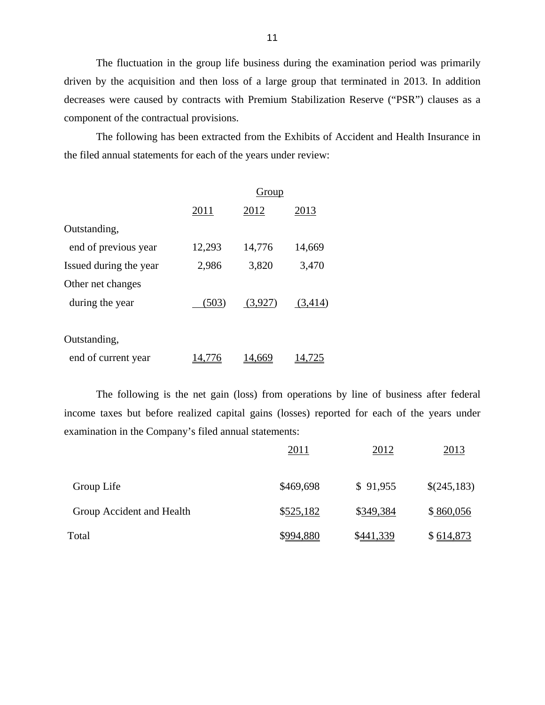The fluctuation in the group life business during the examination period was primarily driven by the acquisition and then loss of a large group that terminated in 2013. In addition decreases were caused by contracts with Premium Stabilization Reserve ("PSR") clauses as a component of the contractual provisions.

The following has been extracted from the Exhibits of Accident and Health Insurance in the filed annual statements for each of the years under review:

|                        | Group  |         |         |
|------------------------|--------|---------|---------|
|                        | 2011   | 2012    | 2013    |
| Outstanding,           |        |         |         |
| end of previous year   | 12,293 | 14,776  | 14,669  |
| Issued during the year | 2,986  | 3,820   | 3,470   |
| Other net changes      |        |         |         |
| during the year        | (503)  | (3,927) | (3,414) |
|                        |        |         |         |
| Outstanding,           |        |         |         |
| end of current year    |        |         |         |

The following is the net gain (loss) from operations by line of business after federal income taxes but before realized capital gains (losses) reported for each of the years under examination in the Company's filed annual statements:

|                           | 2011      | 2012      | 2013        |
|---------------------------|-----------|-----------|-------------|
| Group Life                | \$469,698 | \$91,955  | \$(245,183) |
| Group Accident and Health | \$525,182 | \$349,384 | \$860,056   |
| Total                     | \$994,880 | \$441,339 | \$614,873   |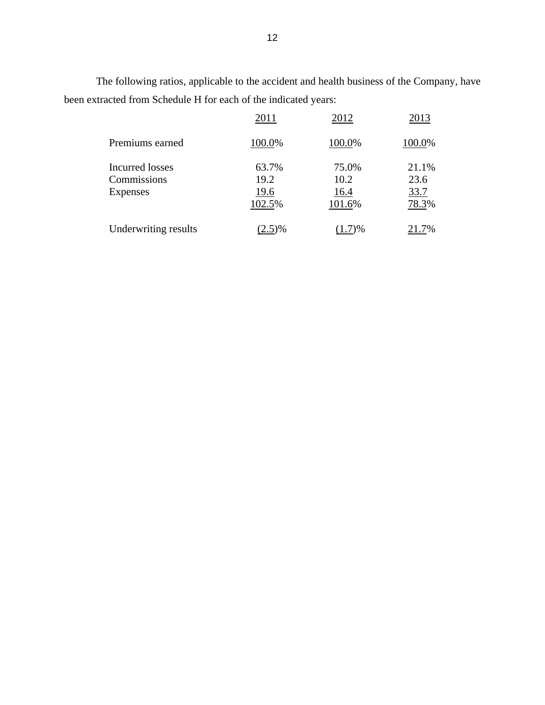The following ratios, applicable to the accident and health business of the Company, have been extracted from Schedule H for each of the indicated years:

|                        | 2011      | 2012      | 2013   |
|------------------------|-----------|-----------|--------|
| Premiums earned        | 100.0%    | 100.0%    | 100.0% |
| <b>Incurred</b> losses | 63.7%     | 75.0%     | 21.1%  |
| Commissions            | 19.2      | 10.2      | 23.6   |
| <b>Expenses</b>        | 19.6      | 16.4      | 33.7   |
|                        | 102.5%    | 101.6%    | 78.3%  |
| Underwriting results   | $(2.5)\%$ | $(1.7)\%$ | 21.7%  |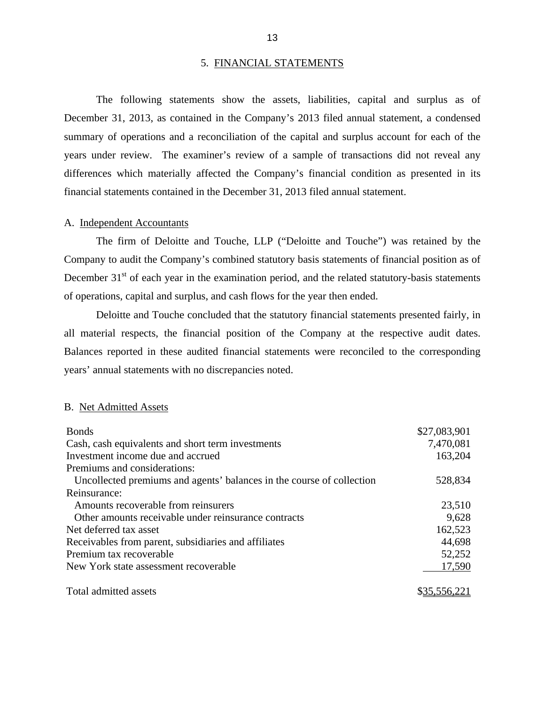#### 5. FINANCIAL STATEMENTS

The following statements show the assets, liabilities, capital and surplus as of December 31, 2013, as contained in the Company's 2013 filed annual statement, a condensed summary of operations and a reconciliation of the capital and surplus account for each of the years under review. The examiner's review of a sample of transactions did not reveal any differences which materially affected the Company's financial condition as presented in its financial statements contained in the December 31, 2013 filed annual statement.

#### A. Independent Accountants

The firm of Deloitte and Touche, LLP ("Deloitte and Touche") was retained by the Company to audit the Company's combined statutory basis statements of financial position as of December  $31<sup>st</sup>$  of each year in the examination period, and the related statutory-basis statements of operations, capital and surplus, and cash flows for the year then ended.

all material respects, the financial position of the Company at the respective audit dates. Deloitte and Touche concluded that the statutory financial statements presented fairly, in Balances reported in these audited financial statements were reconciled to the corresponding years' annual statements with no discrepancies noted.

#### B. Net Admitted Assets

| <b>Bonds</b>                                                          | \$27,083,901 |
|-----------------------------------------------------------------------|--------------|
| Cash, cash equivalents and short term investments                     | 7,470,081    |
| Investment income due and accrued                                     | 163,204      |
| Premiums and considerations:                                          |              |
| Uncollected premiums and agents' balances in the course of collection | 528,834      |
| Reinsurance:                                                          |              |
| Amounts recoverable from reinsurers                                   | 23,510       |
| Other amounts receivable under reinsurance contracts                  | 9,628        |
| Net deferred tax asset                                                | 162,523      |
| Receivables from parent, subsidiaries and affiliates                  | 44,698       |
| Premium tax recoverable                                               | 52,252       |
| New York state assessment recoverable                                 | 17,590       |
| Total admitted assets                                                 | \$35,556,221 |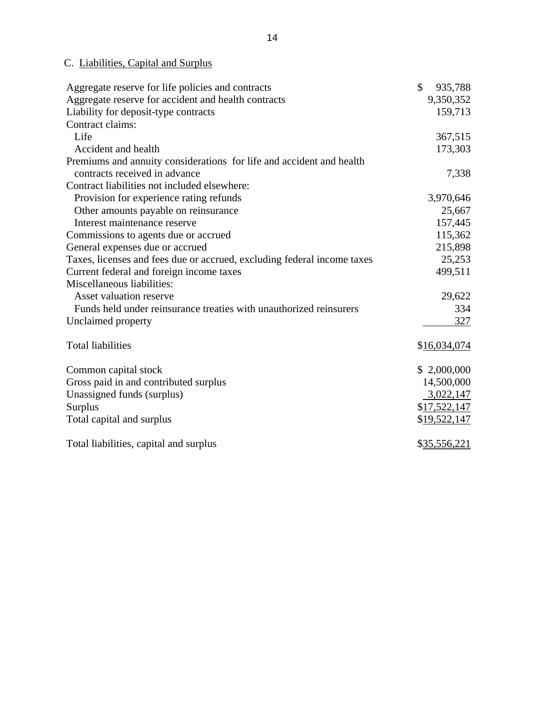# C. Liabilities, Capital and Surplus

| Aggregate reserve for life policies and contracts                       | \$<br>935,788 |
|-------------------------------------------------------------------------|---------------|
| Aggregate reserve for accident and health contracts                     | 9,350,352     |
| Liability for deposit-type contracts                                    | 159,713       |
| Contract claims:                                                        |               |
| Life                                                                    | 367,515       |
| Accident and health                                                     | 173,303       |
| Premiums and annuity considerations for life and accident and health    |               |
| contracts received in advance                                           | 7,338         |
| Contract liabilities not included elsewhere:                            |               |
| Provision for experience rating refunds                                 | 3,970,646     |
| Other amounts payable on reinsurance                                    | 25,667        |
| Interest maintenance reserve                                            | 157,445       |
| Commissions to agents due or accrued                                    | 115,362       |
| General expenses due or accrued                                         | 215,898       |
| Taxes, licenses and fees due or accrued, excluding federal income taxes | 25,253        |
| Current federal and foreign income taxes                                | 499,511       |
| Miscellaneous liabilities:                                              |               |
| Asset valuation reserve                                                 | 29,622        |
| Funds held under reinsurance treaties with unauthorized reinsurers      | 334           |
| Unclaimed property                                                      | 327           |
| <b>Total liabilities</b>                                                | \$16,034,074  |
| Common capital stock                                                    | \$2,000,000   |
| Gross paid in and contributed surplus                                   | 14,500,000    |
| Unassigned funds (surplus)                                              | 3,022,147     |
| Surplus                                                                 | \$17,522,147  |
| Total capital and surplus                                               | \$19,522,147  |
|                                                                         |               |
| Total liabilities, capital and surplus                                  | \$35,556,221  |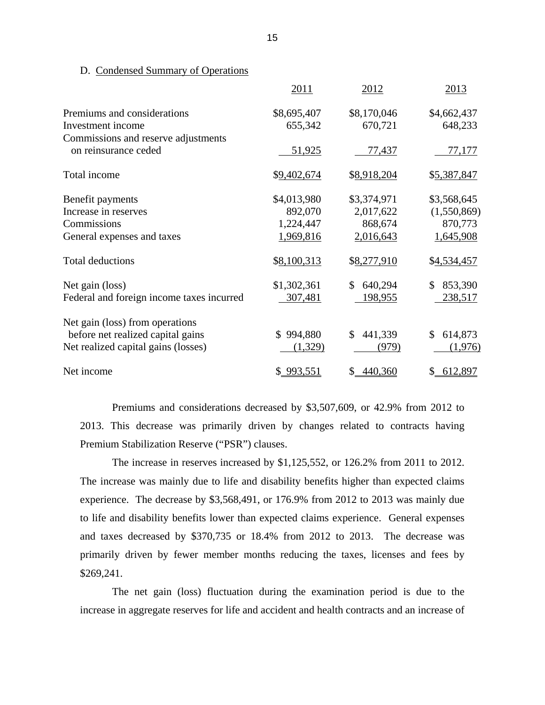### D. Condensed Summary of Operations

|                                                             | <u>2011</u>            | 2012                   | <u>2013</u>            |
|-------------------------------------------------------------|------------------------|------------------------|------------------------|
| Premiums and considerations<br>Investment income            | \$8,695,407<br>655,342 | \$8,170,046<br>670,721 | \$4,662,437<br>648,233 |
| Commissions and reserve adjustments<br>on reinsurance ceded | 51,925                 | 77,437                 | 77,177                 |
| Total income                                                | \$9,402,674            | \$8,918,204            | \$5,387,847            |
| Benefit payments                                            | \$4,013,980            | \$3,374,971            | \$3,568,645            |
| Increase in reserves                                        | 892,070                | 2,017,622              | (1,550,869)            |
| Commissions                                                 | 1,224,447              | 868,674                | 870,773                |
| General expenses and taxes                                  | 1,969,816              | 2,016,643              | 1,645,908              |
| <b>Total deductions</b>                                     | \$8,100,313            | \$8,277,910            | \$4,534,457            |
| Net gain (loss)                                             | \$1,302,361            | 640,294<br>\$          | 853,390<br>\$          |
| Federal and foreign income taxes incurred                   | 307,481                | 198,955                | 238,517                |
| Net gain (loss) from operations                             |                        |                        |                        |
| before net realized capital gains                           | \$994,880              | 441,339<br>\$          | \$<br>614,873          |
| Net realized capital gains (losses)                         | (1,329)                | (979)                  | (1,976)                |
| Net income                                                  | \$993,551              | 440,360<br>\$          | 612,897<br>\$          |

Premiums and considerations decreased by \$3,507,609, or 42.9% from 2012 to 2013. This decrease was primarily driven by changes related to contracts having Premium Stabilization Reserve ("PSR") clauses.

The increase in reserves increased by \$1,125,552, or 126.2% from 2011 to 2012. The increase was mainly due to life and disability benefits higher than expected claims experience. The decrease by \$3,568,491, or 176.9% from 2012 to 2013 was mainly due to life and disability benefits lower than expected claims experience. General expenses and taxes decreased by \$370,735 or 18.4% from 2012 to 2013. The decrease was primarily driven by fewer member months reducing the taxes, licenses and fees by \$269,241.

The net gain (loss) fluctuation during the examination period is due to the increase in aggregate reserves for life and accident and health contracts and an increase of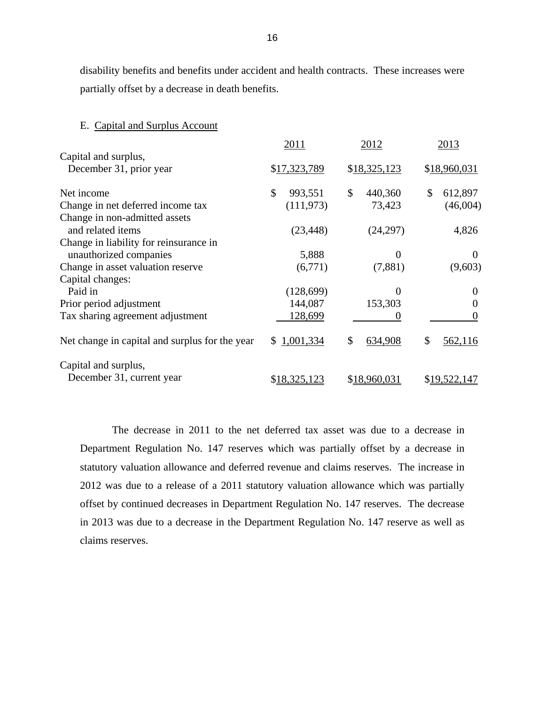disability benefits and benefits under accident and health contracts. These increases were partially offset by a decrease in death benefits.

| E. Capital and Surplus Account                 |                |                          |               |
|------------------------------------------------|----------------|--------------------------|---------------|
|                                                | 2011           | 2012                     | 2013          |
| Capital and surplus,                           |                |                          |               |
| December 31, prior year                        | \$17,323,789   | \$18,325,123             | \$18,960,031  |
| Net income                                     | \$<br>993,551  | $\mathcal{S}$<br>440,360 | 612,897<br>\$ |
| Change in net deferred income tax              | (111, 973)     | 73,423                   | (46,004)      |
| Change in non-admitted assets                  |                |                          |               |
| and related items                              | (23, 448)      | (24, 297)                | 4,826         |
| Change in liability for reinsurance in         |                |                          |               |
| unauthorized companies                         | 5,888          | $\Omega$                 | $\Omega$      |
| Change in asset valuation reserve              | (6,771)        | (7,881)                  | (9,603)       |
| Capital changes:                               |                |                          |               |
| Paid in                                        | (128, 699)     | $\mathbf{0}$             | $\theta$      |
| Prior period adjustment                        | 144,087        | 153,303                  | $\theta$      |
| Tax sharing agreement adjustment               | 128,699        | 0                        | $\theta$      |
| Net change in capital and surplus for the year | 1,001,334<br>S | \$<br>634,908            | \$<br>562,116 |
| Capital and surplus,                           |                |                          |               |
| December 31, current year                      | \$18,325,123   | \$18,960,031             | \$19,522,147  |

The decrease in 2011 to the net deferred tax asset was due to a decrease in Department Regulation No. 147 reserves which was partially offset by a decrease in statutory valuation allowance and deferred revenue and claims reserves. The increase in 2012 was due to a release of a 2011 statutory valuation allowance which was partially offset by continued decreases in Department Regulation No. 147 reserves. The decrease in 2013 was due to a decrease in the Department Regulation No. 147 reserve as well as claims reserves.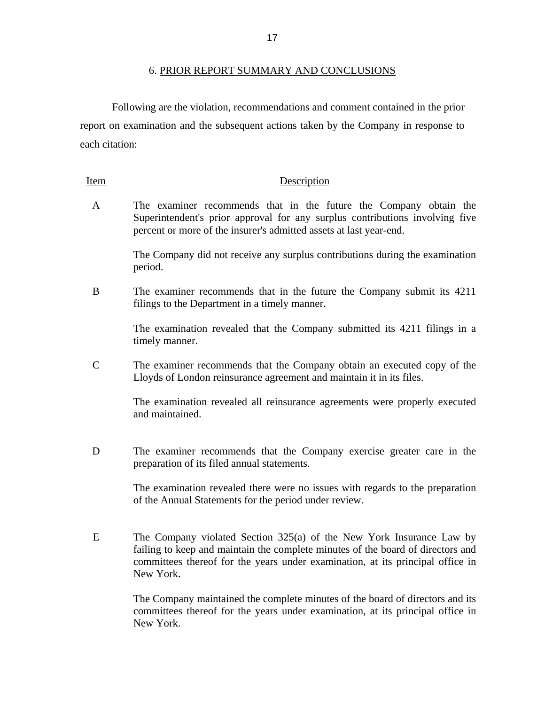<span id="page-19-0"></span>Following are the violation, recommendations and comment contained in the prior report on examination and the subsequent actions taken by the Company in response to each citation:

### Item Description

A The examiner recommends that in the future the Company obtain the Superintendent's prior approval for any surplus contributions involving five percent or more of the insurer's admitted assets at last year-end.

> The Company did not receive any surplus contributions during the examination period.

B The examiner recommends that in the future the Company submit its 4211 filings to the Department in a timely manner.

> The examination revealed that the Company submitted its 4211 filings in a timely manner.

 $\mathsf{C}$ The examiner recommends that the Company obtain an executed copy of the Lloyds of London reinsurance agreement and maintain it in its files.

> The examination revealed all reinsurance agreements were properly executed and maintained.

D The examiner recommends that the Company exercise greater care in the preparation of its filed annual statements.

> The examination revealed there were no issues with regards to the preparation of the Annual Statements for the period under review.

E The Company violated Section 325(a) of the New York Insurance Law by failing to keep and maintain the complete minutes of the board of directors and committees thereof for the years under examination, at its principal office in New York.

> The Company maintained the complete minutes of the board of directors and its committees thereof for the years under examination, at its principal office in New York.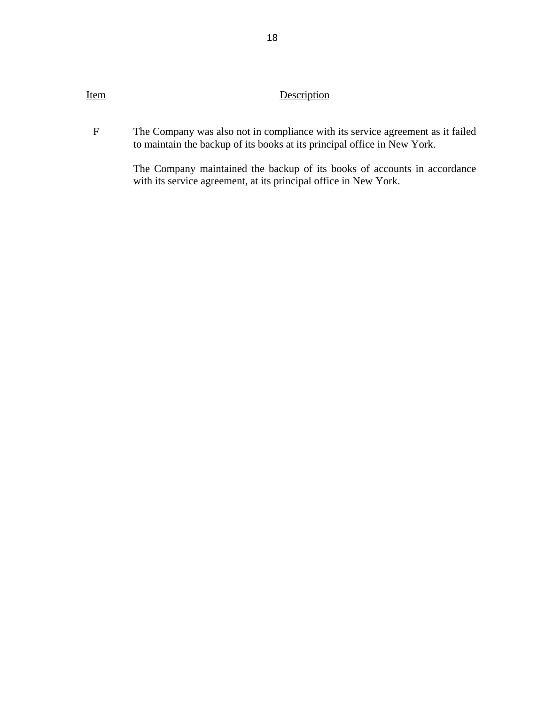# Item Description

F The Company was also not in compliance with its service agreement as it failed to maintain the backup of its books at its principal office in New York.

> The Company maintained the backup of its books of accounts in accordance with its service agreement, at its principal office in New York.

18